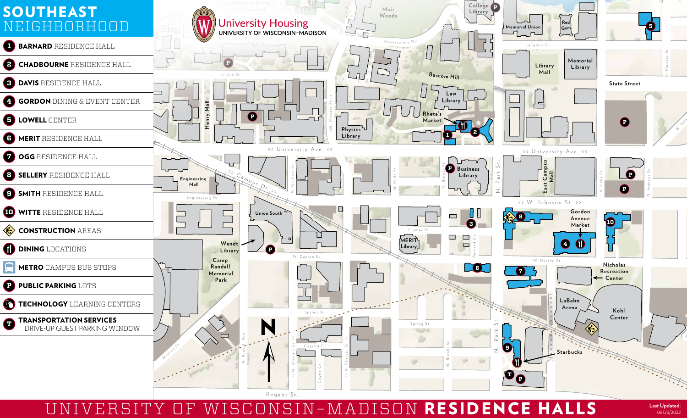

UNIVERSITY OF WISCONSIN–MADISON RESIDENCE HALLS **Last Updated:** 

06/23/2022